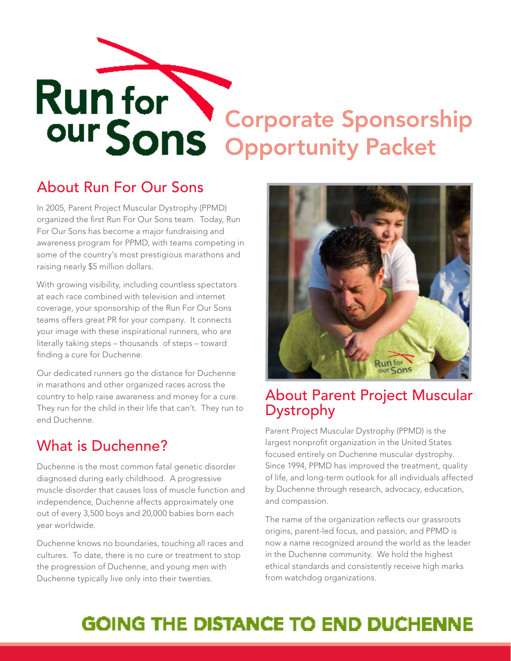# Corporate Sponsorship Opportunity Packet

### About Run For Our Sons

In 2005, Parent Project Muscular Dystrophy (PPMD) organized the first Run For Our Sons team. Today, Run For Our Sons has become a major fundraising and awareness program for PPMD, with teams competing in some of the country's most prestigious marathons and raising nearly \$5 million dollars.

With growing visibility, including countless spectators at each race combined with television and internet coverage, your sponsorship of the Run For Our Sons teams offers great PR for your company. It connects your image with these inspirational runners, who are literally taking steps – thousands of steps – toward finding a cure for Duchenne.

Our dedicated runners go the distance for Duchenne in marathons and other organized races across the country to help raise awareness and money for a cure. They run for the child in their life that can't. They run to end Duchenne.

## What is Duchenne?

Duchenne is the most common fatal genetic disorder diagnosed during early childhood. A progressive muscle disorder that causes loss of muscle function and independence, Duchenne affects approximately one out of every 3,500 boys and 20,000 babies born each year worldwide.

Duchenne knows no boundaries, touching all races and cultures. To date, there is no cure or treatment to stop the progression of Duchenne, and young men with Duchenne typically live only into their twenties.



#### About Parent Project Muscular Dystrophy

Parent Project Muscular Dystrophy (PPMD) is the largest nonprofit organization in the United States focused entirely on Duchenne muscular dystrophy. Since 1994, PPMD has improved the treatment, quality of life, and long-term outlook for all individuals affected by Duchenne through research, advocacy, education, and compassion.

The name of the organization reflects our grassroots origins, parent-led focus, and passion, and PPMD is now a name recognized around the world as the leader in the Duchenne community. We hold the highest ethical standards and consistently receive high marks from watchdog organizations.

# **GOING THE DISTANCE TO END DUCHENNE**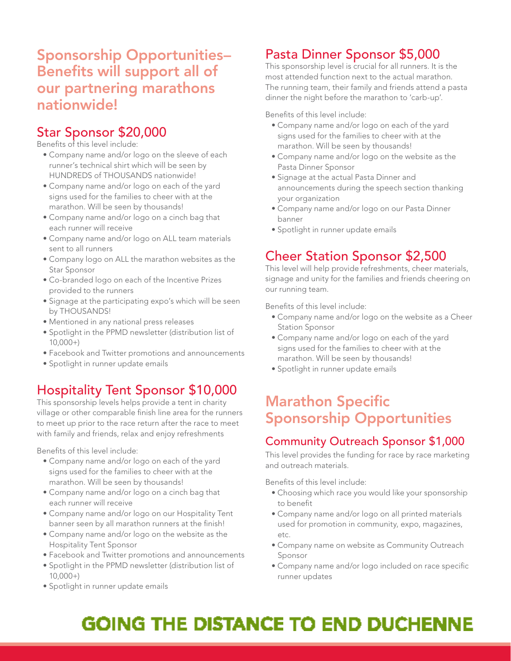#### Sponsorship Opportunities– Benefits will support all of our partnering marathons nationwide!

#### Star Sponsor \$20,000

Benefits of this level include:

- Company name and/or logo on the sleeve of each runner's technical shirt which will be seen by HUNDREDS of THOUSANDS nationwide!
- Company name and/or logo on each of the yard signs used for the families to cheer with at the marathon. Will be seen by thousands!
- Company name and/or logo on a cinch bag that each runner will receive
- Company name and/or logo on ALL team materials sent to all runners
- Company logo on ALL the marathon websites as the Star Sponsor
- Co-branded logo on each of the Incentive Prizes provided to the runners
- Signage at the participating expo's which will be seen by THOUSANDS!
- Mentioned in any national press releases
- Spotlight in the PPMD newsletter (distribution list of 10,000+)
- Facebook and Twitter promotions and announcements
- Spotlight in runner update emails

#### Hospitality Tent Sponsor \$10,000

This sponsorship levels helps provide a tent in charity village or other comparable finish line area for the runners to meet up prior to the race return after the race to meet with family and friends, relax and enjoy refreshments

Benefits of this level include:

- Company name and/or logo on each of the yard signs used for the families to cheer with at the marathon. Will be seen by thousands!
- Company name and/or logo on a cinch bag that each runner will receive
- Company name and/or logo on our Hospitality Tent banner seen by all marathon runners at the finish!
- Company name and/or logo on the website as the Hospitality Tent Sponsor
- Facebook and Twitter promotions and announcements
- Spotlight in the PPMD newsletter (distribution list of 10,000+)
- Spotlight in runner update emails

#### Pasta Dinner Sponsor \$5,000

This sponsorship level is crucial for all runners. It is the most attended function next to the actual marathon. The running team, their family and friends attend a pasta dinner the night before the marathon to 'carb-up'.

Benefits of this level include:

- Company name and/or logo on each of the yard signs used for the families to cheer with at the marathon. Will be seen by thousands!
- Company name and/or logo on the website as the Pasta Dinner Sponsor
- Signage at the actual Pasta Dinner and announcements during the speech section thanking your organization
- Company name and/or logo on our Pasta Dinner banner
- Spotlight in runner update emails

#### Cheer Station Sponsor \$2,500

This level will help provide refreshments, cheer materials, signage and unity for the families and friends cheering on our running team.

Benefits of this level include:

- Company name and/or logo on the website as a Cheer Station Sponsor
- Company name and/or logo on each of the yard signs used for the families to cheer with at the marathon. Will be seen by thousands!
- Spotlight in runner update emails

#### Marathon Specific Sponsorship Opportunities

#### Community Outreach Sponsor \$1,000

This level provides the funding for race by race marketing and outreach materials.

Benefits of this level include:

- Choosing which race you would like your sponsorship to benefit
- Company name and/or logo on all printed materials used for promotion in community, expo, magazines, etc.
- Company name on website as Community Outreach Sponsor
- Company name and/or logo included on race specific runner updates

# **GOING THE DISTANCE TO END DUCHENNE**